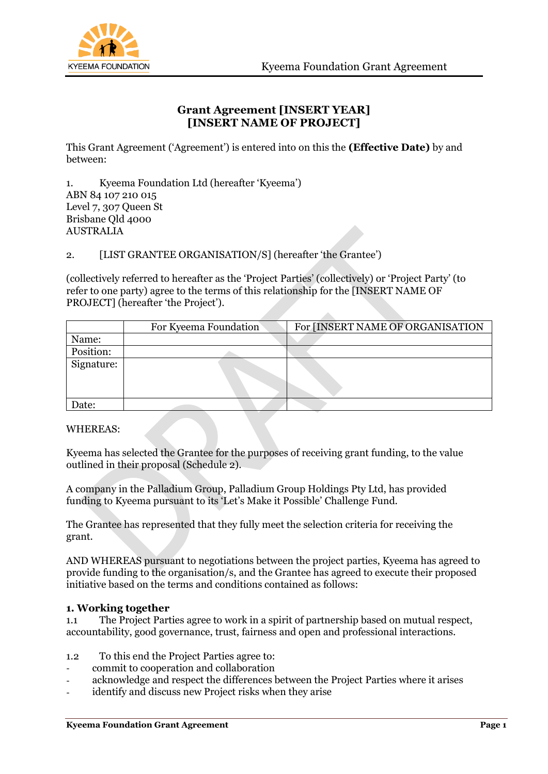



## **Grant Agreement [INSERT YEAR] [INSERT NAME OF PROJECT]**

This Grant Agreement ('Agreement') is entered into on this the **(Effective Date)** by and between:

1. Kyeema Foundation Ltd (hereafter 'Kyeema') ABN 84 107 210 015 Level 7, 307 Queen St Brisbane Qld 4000 AUSTRALIA

2. [LIST GRANTEE ORGANISATION/S] (hereafter 'the Grantee')

(collectively referred to hereafter as the 'Project Parties' (collectively) or 'Project Party' (to refer to one party) agree to the terms of this relationship for the [INSERT NAME OF PROJECT] (hereafter 'the Project').

|            | For Kyeema Foundation | For [INSERT NAME OF ORGANISATION |
|------------|-----------------------|----------------------------------|
| Name:      |                       |                                  |
| Position:  |                       |                                  |
| Signature: |                       |                                  |
| Date:      |                       |                                  |

WHEREAS:

Kyeema has selected the Grantee for the purposes of receiving grant funding, to the value outlined in their proposal (Schedule 2).

A company in the Palladium Group, Palladium Group Holdings Pty Ltd, has provided funding to Kyeema pursuant to its 'Let's Make it Possible' Challenge Fund.

The Grantee has represented that they fully meet the selection criteria for receiving the grant.

AND WHEREAS pursuant to negotiations between the project parties, Kyeema has agreed to provide funding to the organisation/s, and the Grantee has agreed to execute their proposed initiative based on the terms and conditions contained as follows:

## **1. Working together**

1.1 The Project Parties agree to work in a spirit of partnership based on mutual respect, accountability, good governance, trust, fairness and open and professional interactions.

- 1.2 To this end the Project Parties agree to:
- commit to cooperation and collaboration
- acknowledge and respect the differences between the Project Parties where it arises
- identify and discuss new Project risks when they arise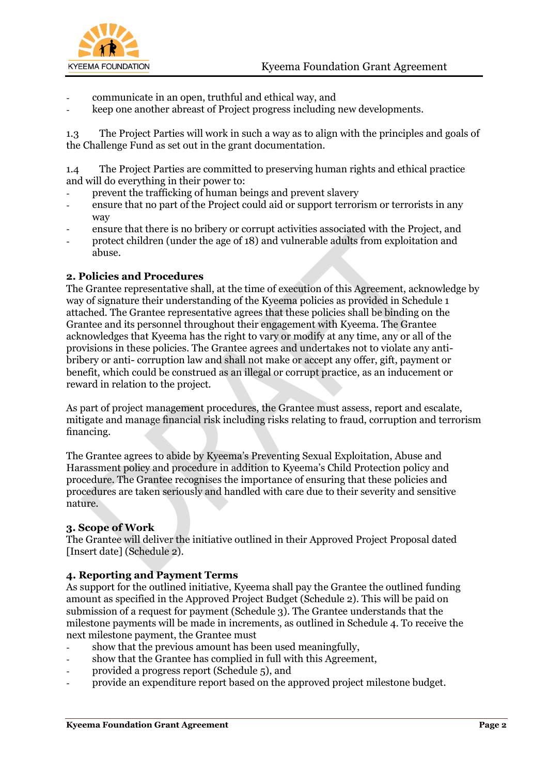

- communicate in an open, truthful and ethical way, and
- keep one another abreast of Project progress including new developments.

1.3 The Project Parties will work in such a way as to align with the principles and goals of the Challenge Fund as set out in the grant documentation.

1.4 The Project Parties are committed to preserving human rights and ethical practice and will do everything in their power to:

- prevent the trafficking of human beings and prevent slavery
- ensure that no part of the Project could aid or support terrorism or terrorists in any way
- ensure that there is no bribery or corrupt activities associated with the Project, and
- protect children (under the age of 18) and vulnerable adults from exploitation and abuse.

### **2. Policies and Procedures**

The Grantee representative shall, at the time of execution of this Agreement, acknowledge by way of signature their understanding of the Kyeema policies as provided in Schedule 1 attached. The Grantee representative agrees that these policies shall be binding on the Grantee and its personnel throughout their engagement with Kyeema. The Grantee acknowledges that Kyeema has the right to vary or modify at any time, any or all of the provisions in these policies. The Grantee agrees and undertakes not to violate any antibribery or anti- corruption law and shall not make or accept any offer, gift, payment or benefit, which could be construed as an illegal or corrupt practice, as an inducement or reward in relation to the project.

As part of project management procedures, the Grantee must assess, report and escalate, mitigate and manage financial risk including risks relating to fraud, corruption and terrorism financing.

The Grantee agrees to abide by Kyeema's Preventing Sexual Exploitation, Abuse and Harassment policy and procedure in addition to Kyeema's Child Protection policy and procedure. The Grantee recognises the importance of ensuring that these policies and procedures are taken seriously and handled with care due to their severity and sensitive nature.

#### **3. Scope of Work**

The Grantee will deliver the initiative outlined in their Approved Project Proposal dated [Insert date] (Schedule 2).

### **4. Reporting and Payment Terms**

As support for the outlined initiative, Kyeema shall pay the Grantee the outlined funding amount as specified in the Approved Project Budget (Schedule 2). This will be paid on submission of a request for payment (Schedule 3). The Grantee understands that the milestone payments will be made in increments, as outlined in Schedule 4. To receive the next milestone payment, the Grantee must

- show that the previous amount has been used meaningfully,
- show that the Grantee has complied in full with this Agreement,
- provided a progress report (Schedule 5), and
- provide an expenditure report based on the approved project milestone budget.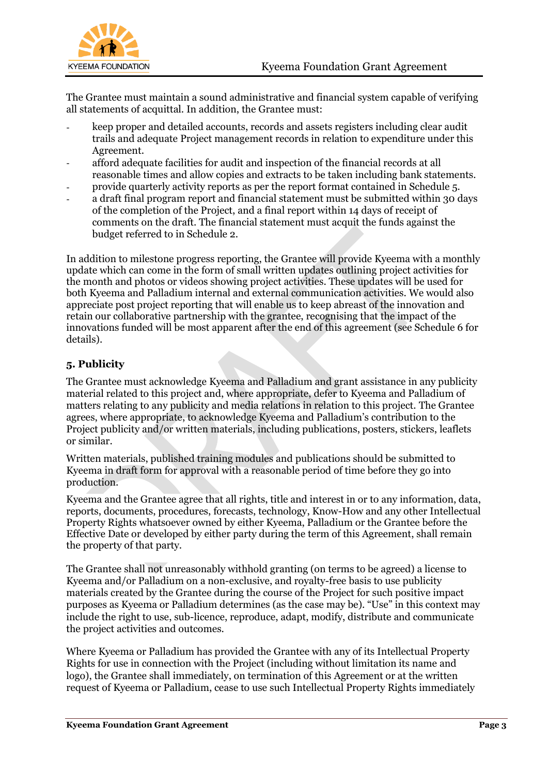

The Grantee must maintain a sound administrative and financial system capable of verifying all statements of acquittal. In addition, the Grantee must:

- keep proper and detailed accounts, records and assets registers including clear audit trails and adequate Project management records in relation to expenditure under this Agreement.
- afford adequate facilities for audit and inspection of the financial records at all reasonable times and allow copies and extracts to be taken including bank statements.
- provide quarterly activity reports as per the report format contained in Schedule 5.
- a draft final program report and financial statement must be submitted within 30 days of the completion of the Project, and a final report within 14 days of receipt of comments on the draft. The financial statement must acquit the funds against the budget referred to in Schedule 2.

In addition to milestone progress reporting, the Grantee will provide Kyeema with a monthly update which can come in the form of small written updates outlining project activities for the month and photos or videos showing project activities. These updates will be used for both Kyeema and Palladium internal and external communication activities. We would also appreciate post project reporting that will enable us to keep abreast of the innovation and retain our collaborative partnership with the grantee, recognising that the impact of the innovations funded will be most apparent after the end of this agreement (see Schedule 6 for details).

## **5. Publicity**

The Grantee must acknowledge Kyeema and Palladium and grant assistance in any publicity material related to this project and, where appropriate, defer to Kyeema and Palladium of matters relating to any publicity and media relations in relation to this project. The Grantee agrees, where appropriate, to acknowledge Kyeema and Palladium's contribution to the Project publicity and/or written materials, including publications, posters, stickers, leaflets or similar.

Written materials, published training modules and publications should be submitted to Kyeema in draft form for approval with a reasonable period of time before they go into production.

Kyeema and the Grantee agree that all rights, title and interest in or to any information, data, reports, documents, procedures, forecasts, technology, Know-How and any other Intellectual Property Rights whatsoever owned by either Kyeema, Palladium or the Grantee before the Effective Date or developed by either party during the term of this Agreement, shall remain the property of that party.

The Grantee shall not unreasonably withhold granting (on terms to be agreed) a license to Kyeema and/or Palladium on a non-exclusive, and royalty-free basis to use publicity materials created by the Grantee during the course of the Project for such positive impact purposes as Kyeema or Palladium determines (as the case may be). "Use" in this context may include the right to use, sub-licence, reproduce, adapt, modify, distribute and communicate the project activities and outcomes.

Where Kyeema or Palladium has provided the Grantee with any of its Intellectual Property Rights for use in connection with the Project (including without limitation its name and logo), the Grantee shall immediately, on termination of this Agreement or at the written request of Kyeema or Palladium, cease to use such Intellectual Property Rights immediately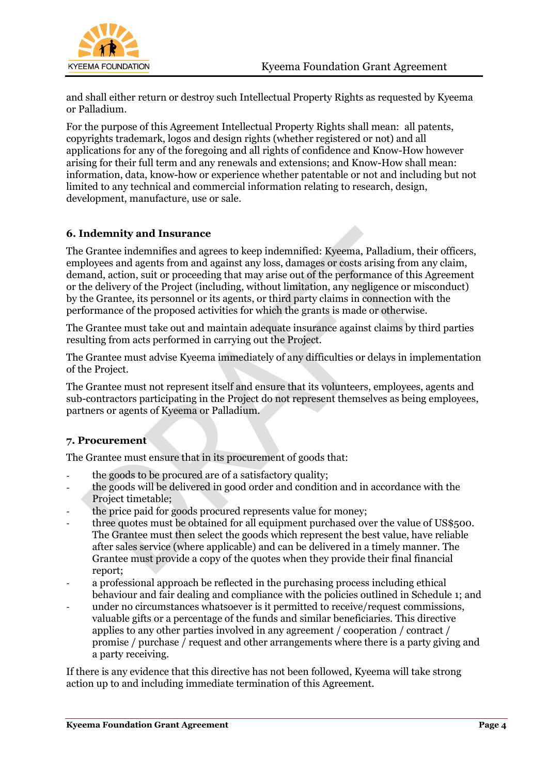

and shall either return or destroy such Intellectual Property Rights as requested by Kyeema or Palladium.

For the purpose of this Agreement Intellectual Property Rights shall mean: all patents, copyrights trademark, logos and design rights (whether registered or not) and all applications for any of the foregoing and all rights of confidence and Know-How however arising for their full term and any renewals and extensions; and Know-How shall mean: information, data, know-how or experience whether patentable or not and including but not limited to any technical and commercial information relating to research, design, development, manufacture, use or sale.

## **6. Indemnity and Insurance**

The Grantee indemnifies and agrees to keep indemnified: Kyeema, Palladium, their officers, employees and agents from and against any loss, damages or costs arising from any claim, demand, action, suit or proceeding that may arise out of the performance of this Agreement or the delivery of the Project (including, without limitation, any negligence or misconduct) by the Grantee, its personnel or its agents, or third party claims in connection with the performance of the proposed activities for which the grants is made or otherwise.

The Grantee must take out and maintain adequate insurance against claims by third parties resulting from acts performed in carrying out the Project.

The Grantee must advise Kyeema immediately of any difficulties or delays in implementation of the Project.

The Grantee must not represent itself and ensure that its volunteers, employees, agents and sub-contractors participating in the Project do not represent themselves as being employees, partners or agents of Kyeema or Palladium.

## **7. Procurement**

The Grantee must ensure that in its procurement of goods that:

- the goods to be procured are of a satisfactory quality;
- the goods will be delivered in good order and condition and in accordance with the Project timetable;
- the price paid for goods procured represents value for money;
- three quotes must be obtained for all equipment purchased over the value of US\$500. The Grantee must then select the goods which represent the best value, have reliable after sales service (where applicable) and can be delivered in a timely manner. The Grantee must provide a copy of the quotes when they provide their final financial report;
- a professional approach be reflected in the purchasing process including ethical behaviour and fair dealing and compliance with the policies outlined in Schedule 1; and
- under no circumstances whatsoever is it permitted to receive/request commissions, valuable gifts or a percentage of the funds and similar beneficiaries. This directive applies to any other parties involved in any agreement / cooperation / contract / promise / purchase / request and other arrangements where there is a party giving and a party receiving.

If there is any evidence that this directive has not been followed, Kyeema will take strong action up to and including immediate termination of this Agreement.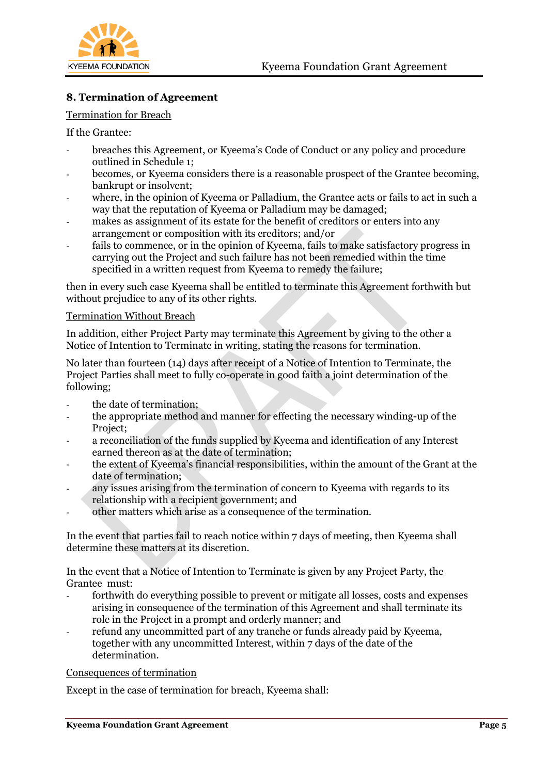

## **8. Termination of Agreement**

#### Termination for Breach

If the Grantee:

- breaches this Agreement, or Kyeema's Code of Conduct or any policy and procedure outlined in Schedule 1;
- becomes, or Kyeema considers there is a reasonable prospect of the Grantee becoming, bankrupt or insolvent;
- where, in the opinion of Kyeema or Palladium, the Grantee acts or fails to act in such a way that the reputation of Kyeema or Palladium may be damaged;
- makes as assignment of its estate for the benefit of creditors or enters into any arrangement or composition with its creditors; and/or
- fails to commence, or in the opinion of Kyeema, fails to make satisfactory progress in carrying out the Project and such failure has not been remedied within the time specified in a written request from Kyeema to remedy the failure;

then in every such case Kyeema shall be entitled to terminate this Agreement forthwith but without prejudice to any of its other rights.

#### Termination Without Breach

In addition, either Project Party may terminate this Agreement by giving to the other a Notice of Intention to Terminate in writing, stating the reasons for termination.

No later than fourteen (14) days after receipt of a Notice of Intention to Terminate, the Project Parties shall meet to fully co-operate in good faith a joint determination of the following;

- the date of termination;
- the appropriate method and manner for effecting the necessary winding-up of the Project;
- a reconciliation of the funds supplied by Kyeema and identification of any Interest earned thereon as at the date of termination;
- the extent of Kyeema's financial responsibilities, within the amount of the Grant at the date of termination;
- any issues arising from the termination of concern to Kyeema with regards to its relationship with a recipient government; and
- other matters which arise as a consequence of the termination.

In the event that parties fail to reach notice within 7 days of meeting, then Kyeema shall determine these matters at its discretion.

In the event that a Notice of Intention to Terminate is given by any Project Party, the Grantee must:

- forthwith do everything possible to prevent or mitigate all losses, costs and expenses arising in consequence of the termination of this Agreement and shall terminate its role in the Project in a prompt and orderly manner; and
- refund any uncommitted part of any tranche or funds already paid by Kyeema, together with any uncommitted Interest, within 7 days of the date of the determination.

#### Consequences of termination

Except in the case of termination for breach, Kyeema shall: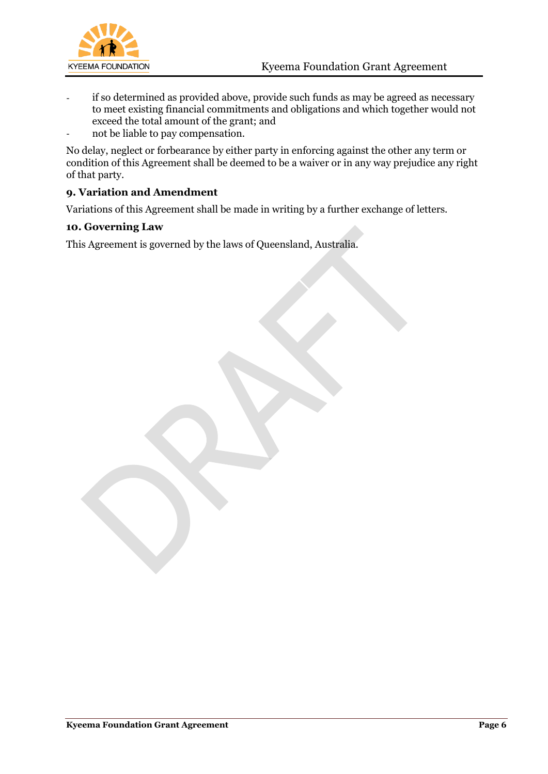

- if so determined as provided above, provide such funds as may be agreed as necessary to meet existing financial commitments and obligations and which together would not exceed the total amount of the grant; and
- not be liable to pay compensation.

No delay, neglect or forbearance by either party in enforcing against the other any term or condition of this Agreement shall be deemed to be a waiver or in any way prejudice any right of that party.

## **9. Variation and Amendment**

Variations of this Agreement shall be made in writing by a further exchange of letters.

## **10. Governing Law**

This Agreement is governed by the laws of Queensland, Australia.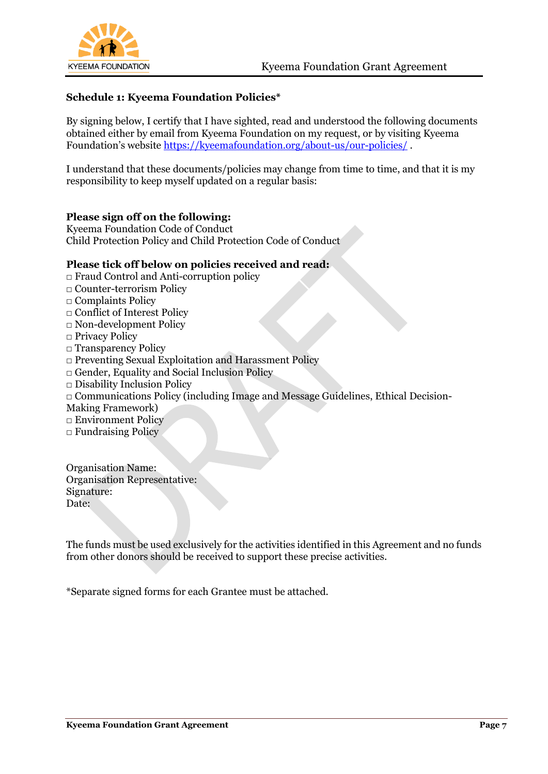

## **Schedule 1: Kyeema Foundation Policies\***

By signing below, I certify that I have sighted, read and understood the following documents obtained either by email from Kyeema Foundation on my request, or by visiting Kyeema Foundation's website <https://kyeemafoundation.org/about-us/our-policies/>.

I understand that these documents/policies may change from time to time, and that it is my responsibility to keep myself updated on a regular basis:

## **Please sign off on the following:**

Kyeema Foundation Code of Conduct Child Protection Policy and Child Protection Code of Conduct

### **Please tick off below on policies received and read:**

- □ Fraud Control and Anti-corruption policy
- □ Counter-terrorism Policy
- □ Complaints Policy
- □ Conflict of Interest Policy
- □ Non-development Policy
- □ Privacy Policy
- □ Transparency Policy
- □ Preventing Sexual Exploitation and Harassment Policy
- □ Gender, Equality and Social Inclusion Policy
- □ Disability Inclusion Policy
- □ Communications Policy (including Image and Message Guidelines, Ethical Decision-
- Making Framework)
- □ Environment Policy
- □ Fundraising Policy

Organisation Name: Organisation Representative: Signature: Date:

The funds must be used exclusively for the activities identified in this Agreement and no funds from other donors should be received to support these precise activities.

\*Separate signed forms for each Grantee must be attached.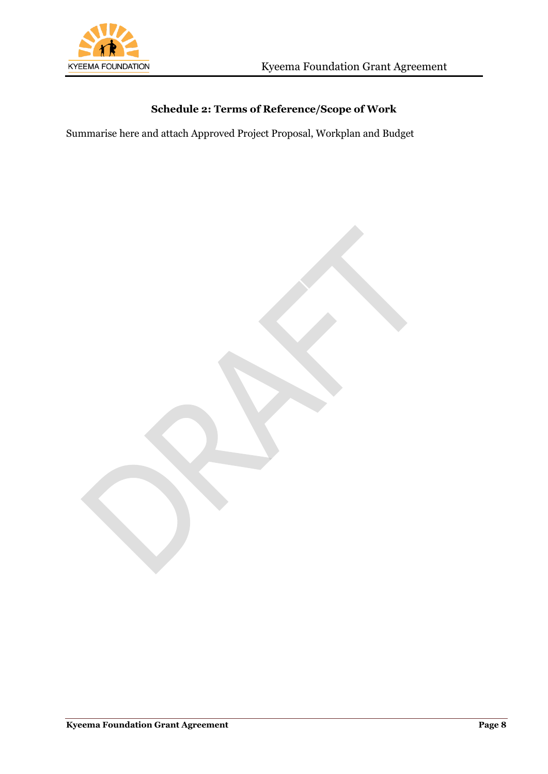

# **Schedule 2: Terms of Reference/Scope of Work**

Summarise here and attach Approved Project Proposal, Workplan and Budget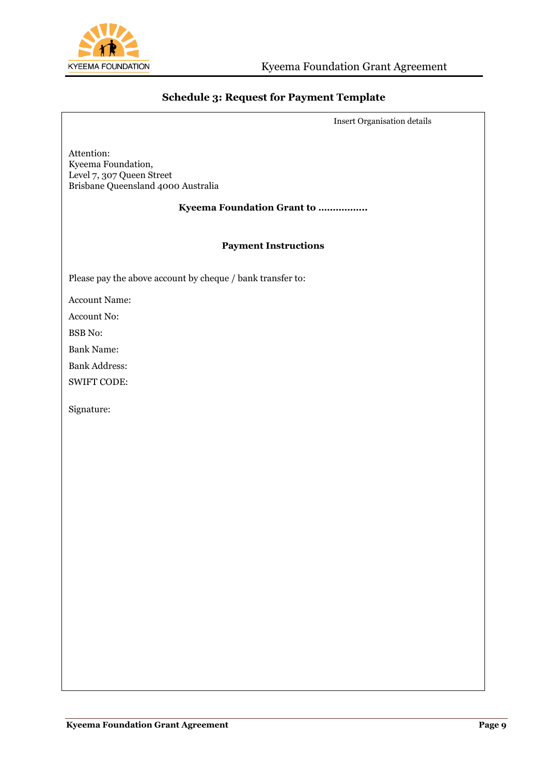

## **Schedule 3: Request for Payment Template**

Insert Organisation details

Attention: Kyeema Foundation, Level 7, 307 Queen Street Brisbane Queensland 4000 Australia

#### **Kyeema Foundation Grant to ……………..**

#### **Payment Instructions**

Please pay the above account by cheque / bank transfer to:

Account Name:

Account No:

BSB No:

Bank Name:

Bank Address:

SWIFT CODE:

Signature: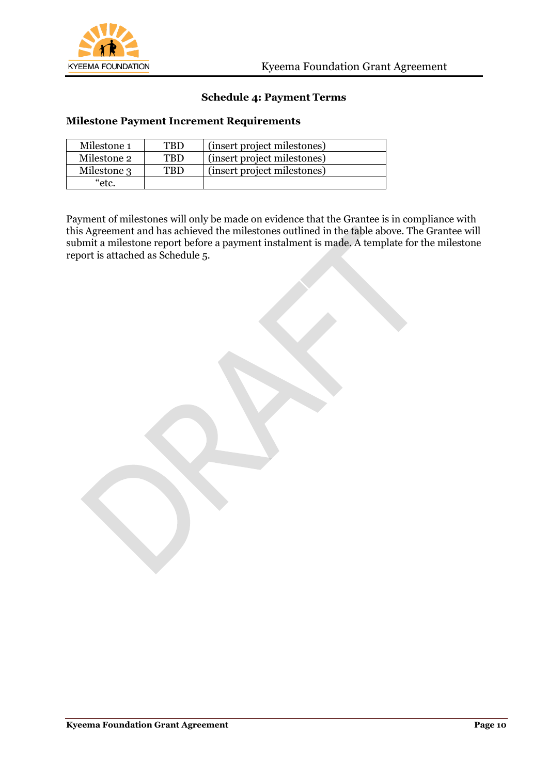

## **Schedule 4: Payment Terms**

### **Milestone Payment Increment Requirements**

| Milestone 1 | <b>TBD</b> | (insert project milestones) |
|-------------|------------|-----------------------------|
| Milestone 2 | <b>TRD</b> | (insert project milestones) |
| Milestone 3 | <b>TRD</b> | (insert project milestones) |
| "etc.       |            |                             |

Payment of milestones will only be made on evidence that the Grantee is in compliance with this Agreement and has achieved the milestones outlined in the table above. The Grantee will submit a milestone report before a payment instalment is made. A template for the milestone report is attached as Schedule 5.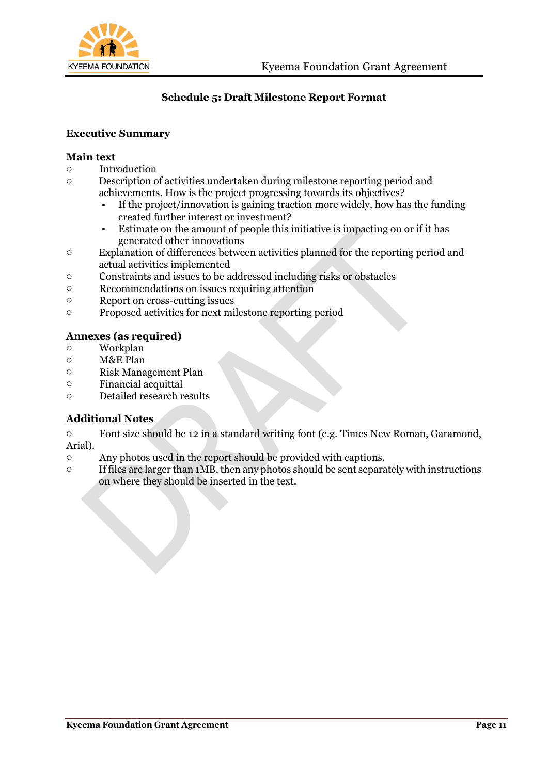

## **Schedule 5: Draft Milestone Report Format**

## **Executive Summary**

### **Main text**

- o Introduction
- o Description of activities undertaken during milestone reporting period and achievements. How is the project progressing towards its objectives?
	- If the project/innovation is gaining traction more widely, how has the funding created further interest or investment?
	- Estimate on the amount of people this initiative is impacting on or if it has generated other innovations
- o Explanation of differences between activities planned for the reporting period and actual activities implemented
- o Constraints and issues to be addressed including risks or obstacles
- o Recommendations on issues requiring attention
- o Report on cross-cutting issues
- o Proposed activities for next milestone reporting period

### **Annexes (as required)**

- o Workplan
- o M&E Plan
- o Risk Management Plan
- o Financial acquittal
- o Detailed research results

## **Additional Notes**

o Font size should be 12 in a standard writing font (e.g. Times New Roman, Garamond, Arial).

- o Any photos used in the report should be provided with captions.
- $\circ$  If files are larger than 1MB, then any photos should be sent separately with instructions on where they should be inserted in the text.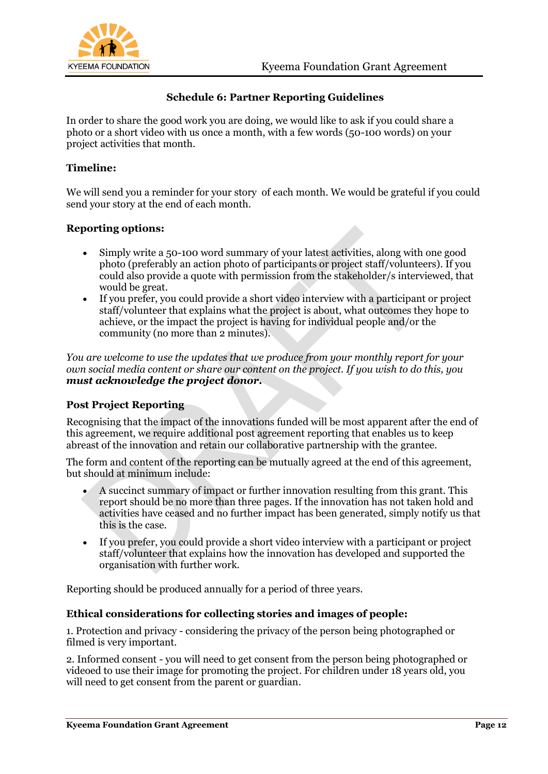



## **Schedule 6: Partner Reporting Guidelines**

In order to share the good work you are doing, we would like to ask if you could share a photo or a short video with us once a month, with a few words (50-100 words) on your project activities that month.

## **Timeline:**

We will send you a reminder for your story of each month. We would be grateful if you could send your story at the end of each month.

## **Reporting options:**

- Simply write a 50-100 word summary of your latest activities, along with one good photo (preferably an action photo of participants or project staff/volunteers). If you could also provide a quote with permission from the stakeholder/s interviewed, that would be great.
- If you prefer, you could provide a short video interview with a participant or project staff/volunteer that explains what the project is about, what outcomes they hope to achieve, or the impact the project is having for individual people and/or the community (no more than 2 minutes).

*You are welcome to use the updates that we produce from your monthly report for your own social media content or share our content on the project. If you wish to do this, you must acknowledge the project donor.*

## **Post Project Reporting**

Recognising that the impact of the innovations funded will be most apparent after the end of this agreement, we require additional post agreement reporting that enables us to keep abreast of the innovation and retain our collaborative partnership with the grantee.

The form and content of the reporting can be mutually agreed at the end of this agreement, but should at minimum include:

- A succinct summary of impact or further innovation resulting from this grant. This report should be no more than three pages. If the innovation has not taken hold and activities have ceased and no further impact has been generated, simply notify us that this is the case.
- If you prefer, you could provide a short video interview with a participant or project staff/volunteer that explains how the innovation has developed and supported the organisation with further work.

Reporting should be produced annually for a period of three years.

## **Ethical considerations for collecting stories and images of people:**

1. Protection and privacy - considering the privacy of the person being photographed or filmed is very important.

2. Informed consent - you will need to get consent from the person being photographed or videoed to use their image for promoting the project. For children under 18 years old, you will need to get consent from the parent or guardian.